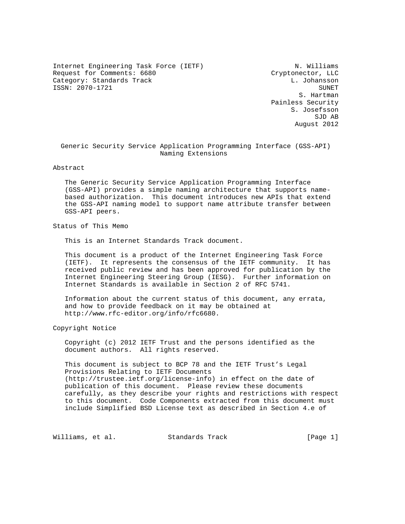Internet Engineering Task Force (IETF) N. Williams Request for Comments: 6680 Cryptonector, LLC Category: Standards Track L. Johansson ISSN: 2070-1721 SUNET

 S. Hartman Painless Security S. Josefsson SJD AB August 2012

 Generic Security Service Application Programming Interface (GSS-API) Naming Extensions

Abstract

 The Generic Security Service Application Programming Interface (GSS-API) provides a simple naming architecture that supports name based authorization. This document introduces new APIs that extend the GSS-API naming model to support name attribute transfer between GSS-API peers.

Status of This Memo

This is an Internet Standards Track document.

 This document is a product of the Internet Engineering Task Force (IETF). It represents the consensus of the IETF community. It has received public review and has been approved for publication by the Internet Engineering Steering Group (IESG). Further information on Internet Standards is available in Section 2 of RFC 5741.

 Information about the current status of this document, any errata, and how to provide feedback on it may be obtained at http://www.rfc-editor.org/info/rfc6680.

Copyright Notice

 Copyright (c) 2012 IETF Trust and the persons identified as the document authors. All rights reserved.

 This document is subject to BCP 78 and the IETF Trust's Legal Provisions Relating to IETF Documents (http://trustee.ietf.org/license-info) in effect on the date of publication of this document. Please review these documents carefully, as they describe your rights and restrictions with respect to this document. Code Components extracted from this document must include Simplified BSD License text as described in Section 4.e of

Williams, et al. Standards Track [Page 1]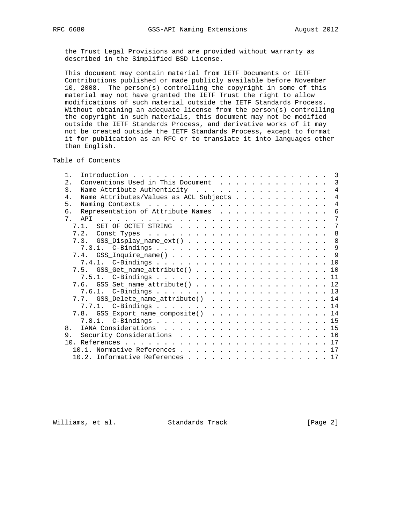the Trust Legal Provisions and are provided without warranty as described in the Simplified BSD License.

 This document may contain material from IETF Documents or IETF Contributions published or made publicly available before November 10, 2008. The person(s) controlling the copyright in some of this material may not have granted the IETF Trust the right to allow modifications of such material outside the IETF Standards Process. Without obtaining an adequate license from the person(s) controlling the copyright in such materials, this document may not be modified outside the IETF Standards Process, and derivative works of it may not be created outside the IETF Standards Process, except to format it for publication as an RFC or to translate it into languages other than English.

Table of Contents

| $1$ .                                                                                                                                                                                                                                                   |                |
|---------------------------------------------------------------------------------------------------------------------------------------------------------------------------------------------------------------------------------------------------------|----------------|
| Conventions Used in This Document<br>$\overline{2}$ .                                                                                                                                                                                                   | -3             |
| Name Attribute Authenticity 4<br>$\mathcal{E}$                                                                                                                                                                                                          |                |
| $4$ .<br>Name Attributes/Values as ACL Subjects                                                                                                                                                                                                         | $\overline{4}$ |
| 5 <sub>1</sub>                                                                                                                                                                                                                                          | 4              |
| Representation of Attribute Names<br>б.                                                                                                                                                                                                                 | 6              |
| 7 <sup>7</sup><br>APT<br>the contract of the contract of the contract of the contract of the contract of the contract of the contract of the contract of the contract of the contract of the contract of the contract of the contract of the contract o | 7              |
| SET OF OCTET STRING 7<br>7 1                                                                                                                                                                                                                            |                |
| 7.2.                                                                                                                                                                                                                                                    | - 8            |
| 7.3. GSS_Display_name_ext() 8                                                                                                                                                                                                                           |                |
|                                                                                                                                                                                                                                                         |                |
|                                                                                                                                                                                                                                                         |                |
|                                                                                                                                                                                                                                                         |                |
| 7.5. GSS_Get_name_attribute() 10                                                                                                                                                                                                                        |                |
|                                                                                                                                                                                                                                                         |                |
| 7.6. GSS_Set_name_attribute() 12                                                                                                                                                                                                                        |                |
|                                                                                                                                                                                                                                                         |                |
| 7.7. GSS_Delete_name_attribute() 14                                                                                                                                                                                                                     |                |
|                                                                                                                                                                                                                                                         |                |
| 7.8. GSS_Export_name_composite() 14                                                                                                                                                                                                                     |                |
|                                                                                                                                                                                                                                                         |                |
| 8 <sub>1</sub>                                                                                                                                                                                                                                          |                |
| Security Considerations 16<br>9.                                                                                                                                                                                                                        |                |
|                                                                                                                                                                                                                                                         |                |
| 10.1. Normative References 17                                                                                                                                                                                                                           |                |
| 10.2. Informative References 17                                                                                                                                                                                                                         |                |
|                                                                                                                                                                                                                                                         |                |

Williams, et al. Standards Track [Page 2]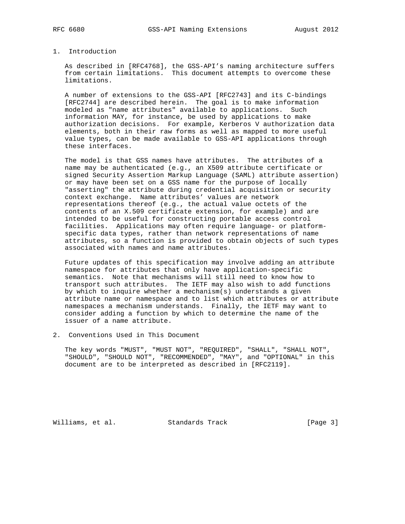### 1. Introduction

 As described in [RFC4768], the GSS-API's naming architecture suffers from certain limitations. This document attempts to overcome these limitations.

 A number of extensions to the GSS-API [RFC2743] and its C-bindings [RFC2744] are described herein. The goal is to make information modeled as "name attributes" available to applications. Such information MAY, for instance, be used by applications to make authorization decisions. For example, Kerberos V authorization data elements, both in their raw forms as well as mapped to more useful value types, can be made available to GSS-API applications through these interfaces.

 The model is that GSS names have attributes. The attributes of a name may be authenticated (e.g., an X509 attribute certificate or signed Security Assertion Markup Language (SAML) attribute assertion) or may have been set on a GSS name for the purpose of locally "asserting" the attribute during credential acquisition or security context exchange. Name attributes' values are network representations thereof (e.g., the actual value octets of the contents of an X.509 certificate extension, for example) and are intended to be useful for constructing portable access control facilities. Applications may often require language- or platform specific data types, rather than network representations of name attributes, so a function is provided to obtain objects of such types associated with names and name attributes.

 Future updates of this specification may involve adding an attribute namespace for attributes that only have application-specific semantics. Note that mechanisms will still need to know how to transport such attributes. The IETF may also wish to add functions by which to inquire whether a mechanism(s) understands a given attribute name or namespace and to list which attributes or attribute namespaces a mechanism understands. Finally, the IETF may want to consider adding a function by which to determine the name of the issuer of a name attribute.

2. Conventions Used in This Document

 The key words "MUST", "MUST NOT", "REQUIRED", "SHALL", "SHALL NOT", "SHOULD", "SHOULD NOT", "RECOMMENDED", "MAY", and "OPTIONAL" in this document are to be interpreted as described in [RFC2119].

Williams, et al. Standards Track [Page 3]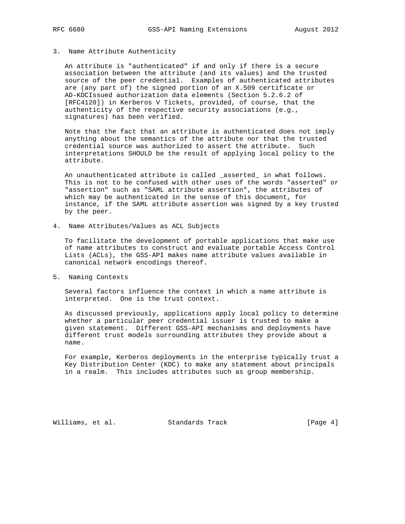#### 3. Name Attribute Authenticity

 An attribute is "authenticated" if and only if there is a secure association between the attribute (and its values) and the trusted source of the peer credential. Examples of authenticated attributes are (any part of) the signed portion of an X.509 certificate or AD-KDCIssued authorization data elements (Section 5.2.6.2 of [RFC4120]) in Kerberos V Tickets, provided, of course, that the authenticity of the respective security associations (e.g., signatures) has been verified.

 Note that the fact that an attribute is authenticated does not imply anything about the semantics of the attribute nor that the trusted credential source was authorized to assert the attribute. Such interpretations SHOULD be the result of applying local policy to the attribute.

 An unauthenticated attribute is called \_asserted\_ in what follows. This is not to be confused with other uses of the words "asserted" or "assertion" such as "SAML attribute assertion", the attributes of which may be authenticated in the sense of this document, for instance, if the SAML attribute assertion was signed by a key trusted by the peer.

4. Name Attributes/Values as ACL Subjects

 To facilitate the development of portable applications that make use of name attributes to construct and evaluate portable Access Control Lists (ACLs), the GSS-API makes name attribute values available in canonical network encodings thereof.

5. Naming Contexts

 Several factors influence the context in which a name attribute is interpreted. One is the trust context.

 As discussed previously, applications apply local policy to determine whether a particular peer credential issuer is trusted to make a given statement. Different GSS-API mechanisms and deployments have different trust models surrounding attributes they provide about a name.

 For example, Kerberos deployments in the enterprise typically trust a Key Distribution Center (KDC) to make any statement about principals in a realm. This includes attributes such as group membership.

Williams, et al. Standards Track [Page 4]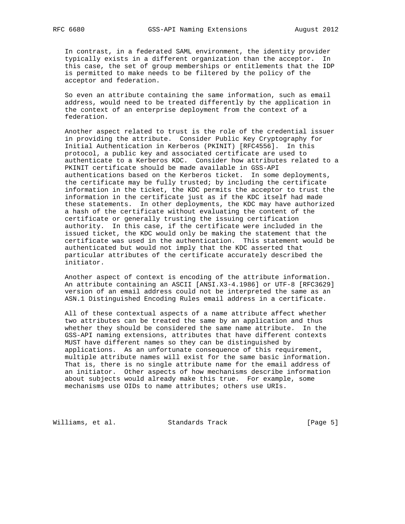In contrast, in a federated SAML environment, the identity provider typically exists in a different organization than the acceptor. In this case, the set of group memberships or entitlements that the IDP is permitted to make needs to be filtered by the policy of the acceptor and federation.

 So even an attribute containing the same information, such as email address, would need to be treated differently by the application in the context of an enterprise deployment from the context of a federation.

 Another aspect related to trust is the role of the credential issuer in providing the attribute. Consider Public Key Cryptography for Initial Authentication in Kerberos (PKINIT) [RFC4556]. In this protocol, a public key and associated certificate are used to authenticate to a Kerberos KDC. Consider how attributes related to a PKINIT certificate should be made available in GSS-API authentications based on the Kerberos ticket. In some deployments, the certificate may be fully trusted; by including the certificate information in the ticket, the KDC permits the acceptor to trust the information in the certificate just as if the KDC itself had made these statements. In other deployments, the KDC may have authorized a hash of the certificate without evaluating the content of the certificate or generally trusting the issuing certification authority. In this case, if the certificate were included in the issued ticket, the KDC would only be making the statement that the certificate was used in the authentication. This statement would be authenticated but would not imply that the KDC asserted that particular attributes of the certificate accurately described the initiator.

 Another aspect of context is encoding of the attribute information. An attribute containing an ASCII [ANSI.X3-4.1986] or UTF-8 [RFC3629] version of an email address could not be interpreted the same as an ASN.1 Distinguished Encoding Rules email address in a certificate.

 All of these contextual aspects of a name attribute affect whether two attributes can be treated the same by an application and thus whether they should be considered the same name attribute. In the GSS-API naming extensions, attributes that have different contexts MUST have different names so they can be distinguished by applications. As an unfortunate consequence of this requirement, multiple attribute names will exist for the same basic information. That is, there is no single attribute name for the email address of an initiator. Other aspects of how mechanisms describe information about subjects would already make this true. For example, some mechanisms use OIDs to name attributes; others use URIs.

Williams, et al. Standards Track [Page 5]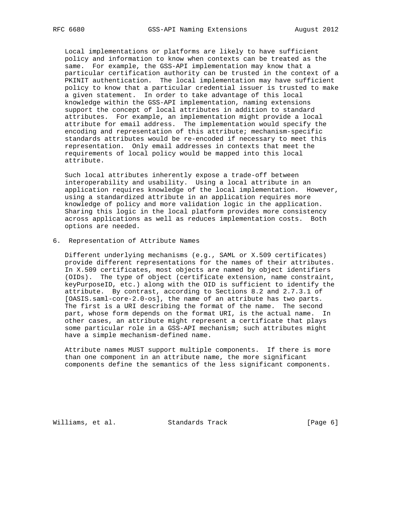Local implementations or platforms are likely to have sufficient policy and information to know when contexts can be treated as the same. For example, the GSS-API implementation may know that a particular certification authority can be trusted in the context of a PKINIT authentication. The local implementation may have sufficient policy to know that a particular credential issuer is trusted to make a given statement. In order to take advantage of this local knowledge within the GSS-API implementation, naming extensions support the concept of local attributes in addition to standard attributes. For example, an implementation might provide a local attribute for email address. The implementation would specify the encoding and representation of this attribute; mechanism-specific standards attributes would be re-encoded if necessary to meet this representation. Only email addresses in contexts that meet the requirements of local policy would be mapped into this local attribute.

 Such local attributes inherently expose a trade-off between interoperability and usability. Using a local attribute in an application requires knowledge of the local implementation. However, using a standardized attribute in an application requires more knowledge of policy and more validation logic in the application. Sharing this logic in the local platform provides more consistency across applications as well as reduces implementation costs. Both options are needed.

6. Representation of Attribute Names

 Different underlying mechanisms (e.g., SAML or X.509 certificates) provide different representations for the names of their attributes. In X.509 certificates, most objects are named by object identifiers (OIDs). The type of object (certificate extension, name constraint, keyPurposeID, etc.) along with the OID is sufficient to identify the attribute. By contrast, according to Sections 8.2 and 2.7.3.1 of [OASIS.saml-core-2.0-os], the name of an attribute has two parts. The first is a URI describing the format of the name. The second part, whose form depends on the format URI, is the actual name. In other cases, an attribute might represent a certificate that plays some particular role in a GSS-API mechanism; such attributes might have a simple mechanism-defined name.

 Attribute names MUST support multiple components. If there is more than one component in an attribute name, the more significant components define the semantics of the less significant components.

Williams, et al. Standards Track [Page 6]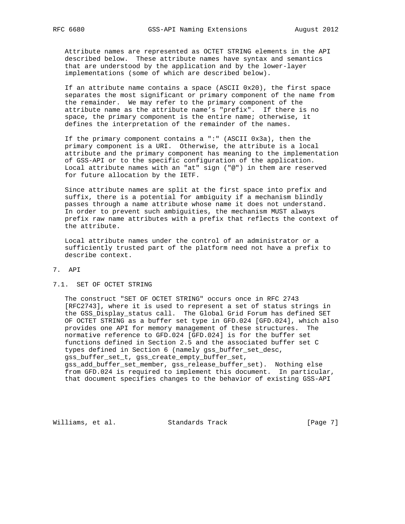Attribute names are represented as OCTET STRING elements in the API described below. These attribute names have syntax and semantics that are understood by the application and by the lower-layer implementations (some of which are described below).

 If an attribute name contains a space (ASCII 0x20), the first space separates the most significant or primary component of the name from the remainder. We may refer to the primary component of the attribute name as the attribute name's "prefix". If there is no space, the primary component is the entire name; otherwise, it defines the interpretation of the remainder of the names.

 If the primary component contains a ":" (ASCII 0x3a), then the primary component is a URI. Otherwise, the attribute is a local attribute and the primary component has meaning to the implementation of GSS-API or to the specific configuration of the application. Local attribute names with an "at" sign ("@") in them are reserved for future allocation by the IETF.

 Since attribute names are split at the first space into prefix and suffix, there is a potential for ambiguity if a mechanism blindly passes through a name attribute whose name it does not understand. In order to prevent such ambiguities, the mechanism MUST always prefix raw name attributes with a prefix that reflects the context of the attribute.

 Local attribute names under the control of an administrator or a sufficiently trusted part of the platform need not have a prefix to describe context.

### 7. API

#### 7.1. SET OF OCTET STRING

 The construct "SET OF OCTET STRING" occurs once in RFC 2743 [RFC2743], where it is used to represent a set of status strings in the GSS\_Display\_status call. The Global Grid Forum has defined SET OF OCTET STRING as a buffer set type in GFD.024 [GFD.024], which also provides one API for memory management of these structures. The normative reference to GFD.024 [GFD.024] is for the buffer set functions defined in Section 2.5 and the associated buffer set C types defined in Section 6 (namely gss\_buffer\_set\_desc, gss\_buffer\_set\_t, gss\_create\_empty\_buffer\_set, gss\_add\_buffer\_set\_member, gss\_release\_buffer\_set). Nothing else from GFD.024 is required to implement this document. In particular, that document specifies changes to the behavior of existing GSS-API

Williams, et al. Standards Track [Page 7]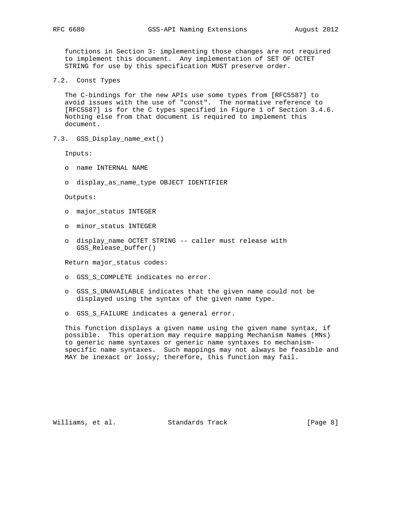functions in Section 3: implementing those changes are not required to implement this document. Any implementation of SET OF OCTET STRING for use by this specification MUST preserve order.

7.2. Const Types

 The C-bindings for the new APIs use some types from [RFC5587] to avoid issues with the use of "const". The normative reference to [RFC5587] is for the C types specified in Figure 1 of Section 3.4.6. Nothing else from that document is required to implement this document.

7.3. GSS\_Display\_name\_ext()

Inputs:

- o name INTERNAL NAME
- o display\_as\_name\_type OBJECT IDENTIFIER

Outputs:

- o major\_status INTEGER
- o minor\_status INTEGER
- o display\_name OCTET STRING -- caller must release with GSS\_Release\_buffer()

Return major\_status codes:

- o GSS\_S\_COMPLETE indicates no error.
- o GSS\_S\_UNAVAILABLE indicates that the given name could not be displayed using the syntax of the given name type.
- o GSS\_S\_FAILURE indicates a general error.

 This function displays a given name using the given name syntax, if possible. This operation may require mapping Mechanism Names (MNs) to generic name syntaxes or generic name syntaxes to mechanism specific name syntaxes. Such mappings may not always be feasible and MAY be inexact or lossy; therefore, this function may fail.

Williams, et al. Standards Track [Page 8]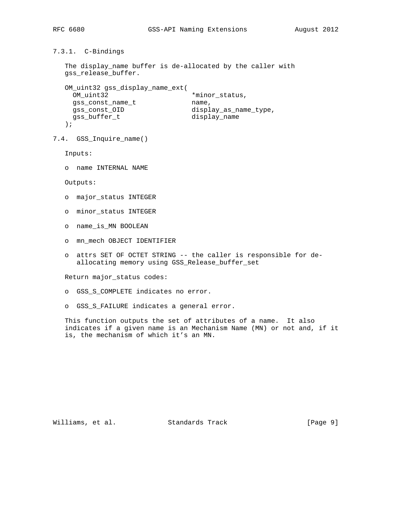```
7.3.1. C-Bindings
```

```
 The display_name buffer is de-allocated by the caller with
gss release buffer.
```

```
 OM_uint32 gss_display_name_ext(
OM_uint32 *minor_status,
gss_const_name_t name,
 gss_const_OID display_as_name_type,
  gss_buffer_t display_name
  );
```

```
7.4. GSS_Inquire_name()
```
Inputs:

o name INTERNAL NAME

Outputs:

- o major\_status INTEGER
- o minor\_status INTEGER
- o name\_is\_MN BOOLEAN
- o mn\_mech OBJECT IDENTIFIER
- o attrs SET OF OCTET STRING -- the caller is responsible for de allocating memory using GSS\_Release\_buffer\_set

Return major\_status codes:

- o GSS\_S\_COMPLETE indicates no error.
- o GSS\_S\_FAILURE indicates a general error.

 This function outputs the set of attributes of a name. It also indicates if a given name is an Mechanism Name (MN) or not and, if it is, the mechanism of which it's an MN.

Williams, et al. Standards Track [Page 9]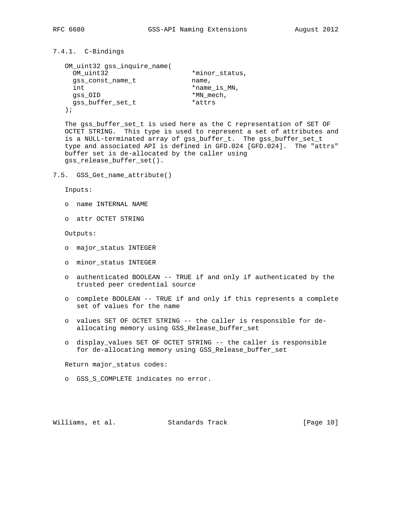# 7.4.1. C-Bindings

```
 OM_uint32 gss_inquire_name(
OM_uint32 *minor_status,
gss_const_name_t name,
  int *name_is_MN,
  gss_OID *MN\_mech,
   gss_buffer_set_t *attrs
  );
```
 The gss\_buffer\_set\_t is used here as the C representation of SET OF OCTET STRING. This type is used to represent a set of attributes and is a NULL-terminated array of gss\_buffer\_t. The gss\_buffer\_set\_t type and associated API is defined in GFD.024 [GFD.024]. The "attrs" buffer set is de-allocated by the caller using gss\_release\_buffer\_set().

7.5. GSS\_Get\_name\_attribute()

Inputs:

- o name INTERNAL NAME
- o attr OCTET STRING

Outputs:

- o major\_status INTEGER
- o minor\_status INTEGER
- o authenticated BOOLEAN -- TRUE if and only if authenticated by the trusted peer credential source
- o complete BOOLEAN -- TRUE if and only if this represents a complete set of values for the name
- o values SET OF OCTET STRING -- the caller is responsible for de allocating memory using GSS\_Release\_buffer\_set
- o display\_values SET OF OCTET STRING -- the caller is responsible for de-allocating memory using GSS\_Release\_buffer\_set

Return major\_status codes:

o GSS\_S\_COMPLETE indicates no error.

Williams, et al. Standards Track [Page 10]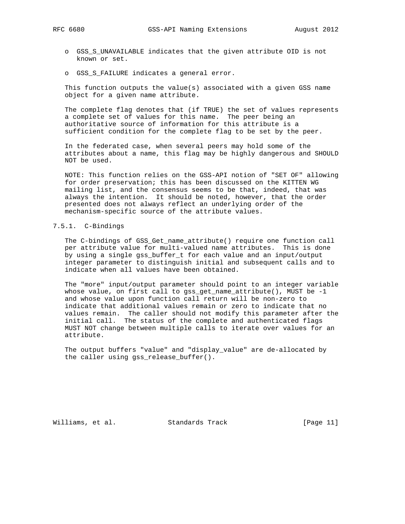- o GSS\_S\_UNAVAILABLE indicates that the given attribute OID is not known or set.
- o GSS\_S\_FAILURE indicates a general error.

 This function outputs the value(s) associated with a given GSS name object for a given name attribute.

 The complete flag denotes that (if TRUE) the set of values represents a complete set of values for this name. The peer being an authoritative source of information for this attribute is a sufficient condition for the complete flag to be set by the peer.

 In the federated case, when several peers may hold some of the attributes about a name, this flag may be highly dangerous and SHOULD NOT be used.

 NOTE: This function relies on the GSS-API notion of "SET OF" allowing for order preservation; this has been discussed on the KITTEN WG mailing list, and the consensus seems to be that, indeed, that was always the intention. It should be noted, however, that the order presented does not always reflect an underlying order of the mechanism-specific source of the attribute values.

# 7.5.1. C-Bindings

 The C-bindings of GSS\_Get\_name\_attribute() require one function call per attribute value for multi-valued name attributes. This is done by using a single gss\_buffer\_t for each value and an input/output integer parameter to distinguish initial and subsequent calls and to indicate when all values have been obtained.

 The "more" input/output parameter should point to an integer variable whose value, on first call to gss\_get\_name\_attribute(), MUST be -1 and whose value upon function call return will be non-zero to indicate that additional values remain or zero to indicate that no values remain. The caller should not modify this parameter after the initial call. The status of the complete and authenticated flags MUST NOT change between multiple calls to iterate over values for an attribute.

 The output buffers "value" and "display\_value" are de-allocated by the caller using gss\_release\_buffer().

Williams, et al. Standards Track [Page 11]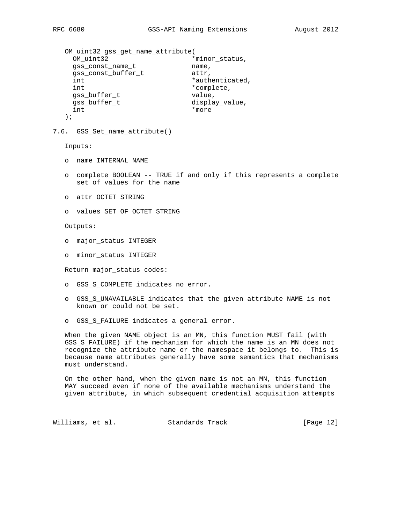```
 OM_uint32 gss_get_name_attribute(
OM_uint32 *minor_status,
gss_const_name_t name,
gss_const_buffer_t    detr,
int *authenticated,
    int *complete,
   gss_buffer_t value,
    gss_buffer_t display_value,
    int *more
   );
7.6. GSS_Set_name_attribute()
   Inputs:
   o name INTERNAL NAME
   o complete BOOLEAN -- TRUE if and only if this represents a complete
     set of values for the name
   o attr OCTET STRING
   o values SET OF OCTET STRING
   Outputs:
   o major_status INTEGER
   o minor_status INTEGER
   Return major_status codes:
   o GSS_S_COMPLETE indicates no error.
   o GSS_S_UNAVAILABLE indicates that the given attribute NAME is not
     known or could not be set.
   o GSS_S_FAILURE indicates a general error.
   When the given NAME object is an MN, this function MUST fail (with
   GSS_S_FAILURE) if the mechanism for which the name is an MN does not
   recognize the attribute name or the namespace it belongs to. This is
   because name attributes generally have some semantics that mechanisms
   must understand.
   On the other hand, when the given name is not an MN, this function
```
 MAY succeed even if none of the available mechanisms understand the given attribute, in which subsequent credential acquisition attempts

Williams, et al. Standards Track [Page 12]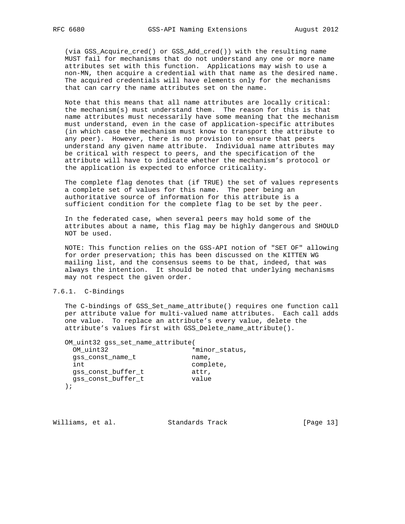(via GSS\_Acquire\_cred() or GSS\_Add\_cred()) with the resulting name MUST fail for mechanisms that do not understand any one or more name attributes set with this function. Applications may wish to use a non-MN, then acquire a credential with that name as the desired name. The acquired credentials will have elements only for the mechanisms that can carry the name attributes set on the name.

 Note that this means that all name attributes are locally critical: the mechanism(s) must understand them. The reason for this is that name attributes must necessarily have some meaning that the mechanism must understand, even in the case of application-specific attributes (in which case the mechanism must know to transport the attribute to any peer). However, there is no provision to ensure that peers understand any given name attribute. Individual name attributes may be critical with respect to peers, and the specification of the attribute will have to indicate whether the mechanism's protocol or the application is expected to enforce criticality.

 The complete flag denotes that (if TRUE) the set of values represents a complete set of values for this name. The peer being an authoritative source of information for this attribute is a sufficient condition for the complete flag to be set by the peer.

 In the federated case, when several peers may hold some of the attributes about a name, this flag may be highly dangerous and SHOULD NOT be used.

 NOTE: This function relies on the GSS-API notion of "SET OF" allowing for order preservation; this has been discussed on the KITTEN WG mailing list, and the consensus seems to be that, indeed, that was always the intention. It should be noted that underlying mechanisms may not respect the given order.

### 7.6.1. C-Bindings

 The C-bindings of GSS\_Set\_name\_attribute() requires one function call per attribute value for multi-valued name attributes. Each call adds one value. To replace an attribute's every value, delete the attribute's values first with GSS\_Delete\_name\_attribute().

| OM uint32 gss set name attribute( |                |  |
|-----------------------------------|----------------|--|
| OM uint32                         | *minor status, |  |
| qss const name t                  | name,          |  |
| int                               | complete,      |  |
| qss const buffer t                | attr,          |  |
| qss const buffer t                | value          |  |
|                                   |                |  |

Williams, et al. Standards Track [Page 13]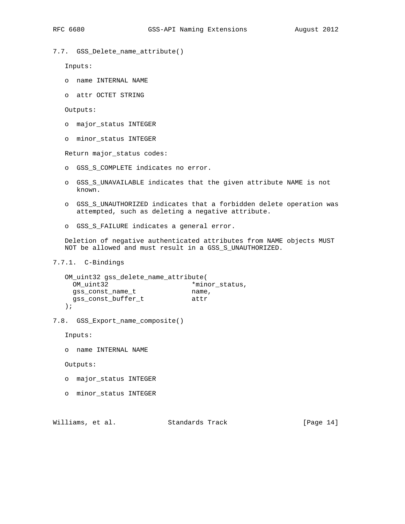Inputs:

o name INTERNAL NAME

7.7. GSS\_Delete\_name\_attribute()

o attr OCTET STRING

Outputs:

- o major\_status INTEGER
- o minor\_status INTEGER

Return major\_status codes:

- o GSS\_S\_COMPLETE indicates no error.
- o GSS\_S\_UNAVAILABLE indicates that the given attribute NAME is not known.
- o GSS\_S\_UNAUTHORIZED indicates that a forbidden delete operation was attempted, such as deleting a negative attribute.
- o GSS\_S\_FAILURE indicates a general error.

 Deletion of negative authenticated attributes from NAME objects MUST NOT be allowed and must result in a GSS\_S\_UNAUTHORIZED.

7.7.1. C-Bindings

| OM_uint32 gss_delete_name_attribute( |                |  |
|--------------------------------------|----------------|--|
| OM uint32                            | *minor status, |  |
| qss const name t                     | name,          |  |
| qss const buffer t                   | attr           |  |
| $\rightarrow$                        |                |  |

- 
- 7.8. GSS\_Export\_name\_composite()

Inputs:

o name INTERNAL NAME

Outputs:

- o major\_status INTEGER
- o minor\_status INTEGER

Williams, et al. Standards Track [Page 14]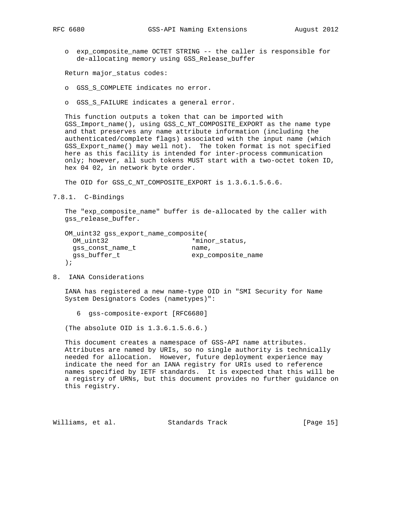o exp\_composite\_name OCTET STRING -- the caller is responsible for de-allocating memory using GSS\_Release\_buffer

Return major\_status codes:

- o GSS\_S\_COMPLETE indicates no error.
- o GSS\_S\_FAILURE indicates a general error.

 This function outputs a token that can be imported with GSS\_Import\_name(), using GSS\_C\_NT\_COMPOSITE\_EXPORT as the name type and that preserves any name attribute information (including the authenticated/complete flags) associated with the input name (which GSS\_Export\_name() may well not). The token format is not specified here as this facility is intended for inter-process communication only; however, all such tokens MUST start with a two-octet token ID, hex 04 02, in network byte order.

The OID for GSS\_C\_NT\_COMPOSITE\_EXPORT is 1.3.6.1.5.6.6.

7.8.1. C-Bindings

 The "exp\_composite\_name" buffer is de-allocated by the caller with gss\_release\_buffer.

| OM_uint32 gss_export_name_composite( |                    |  |
|--------------------------------------|--------------------|--|
| OM uint32                            | *minor status,     |  |
| qss const name t                     | name,              |  |
| gss buffer t                         | exp composite name |  |
| $\cdot$ :                            |                    |  |

8. IANA Considerations

 IANA has registered a new name-type OID in "SMI Security for Name System Designators Codes (nametypes)":

6 gss-composite-export [RFC6680]

(The absolute OID is 1.3.6.1.5.6.6.)

 This document creates a namespace of GSS-API name attributes. Attributes are named by URIs, so no single authority is technically needed for allocation. However, future deployment experience may indicate the need for an IANA registry for URIs used to reference names specified by IETF standards. It is expected that this will be a registry of URNs, but this document provides no further guidance on this registry.

Williams, et al. Standards Track [Page 15]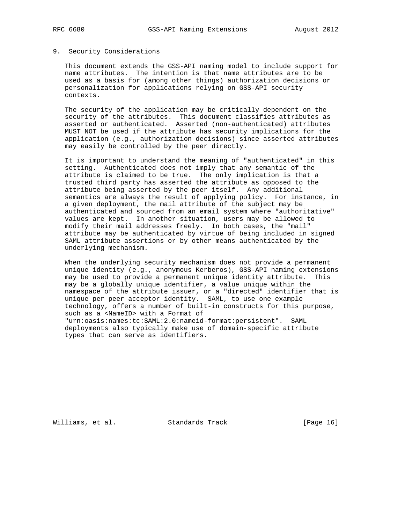#### 9. Security Considerations

 This document extends the GSS-API naming model to include support for name attributes. The intention is that name attributes are to be used as a basis for (among other things) authorization decisions or personalization for applications relying on GSS-API security contexts.

 The security of the application may be critically dependent on the security of the attributes. This document classifies attributes as asserted or authenticated. Asserted (non-authenticated) attributes MUST NOT be used if the attribute has security implications for the application (e.g., authorization decisions) since asserted attributes may easily be controlled by the peer directly.

 It is important to understand the meaning of "authenticated" in this setting. Authenticated does not imply that any semantic of the attribute is claimed to be true. The only implication is that a trusted third party has asserted the attribute as opposed to the attribute being asserted by the peer itself. Any additional semantics are always the result of applying policy. For instance, in a given deployment, the mail attribute of the subject may be authenticated and sourced from an email system where "authoritative" values are kept. In another situation, users may be allowed to modify their mail addresses freely. In both cases, the "mail" attribute may be authenticated by virtue of being included in signed SAML attribute assertions or by other means authenticated by the underlying mechanism.

 When the underlying security mechanism does not provide a permanent unique identity (e.g., anonymous Kerberos), GSS-API naming extensions may be used to provide a permanent unique identity attribute. This may be a globally unique identifier, a value unique within the namespace of the attribute issuer, or a "directed" identifier that is unique per peer acceptor identity. SAML, to use one example technology, offers a number of built-in constructs for this purpose, such as a <NameID> with a Format of

 "urn:oasis:names:tc:SAML:2.0:nameid-format:persistent". SAML deployments also typically make use of domain-specific attribute types that can serve as identifiers.

Williams, et al. Standards Track [Page 16]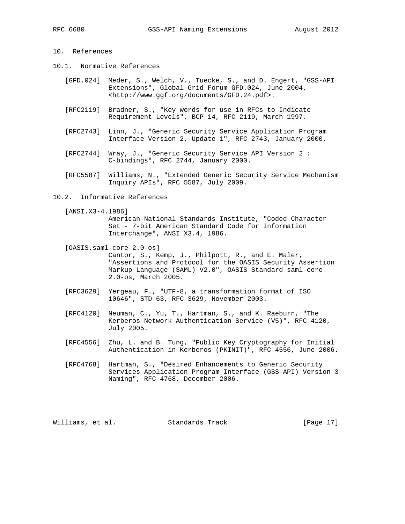# 10. References

- 10.1. Normative References
	- [GFD.024] Meder, S., Welch, V., Tuecke, S., and D. Engert, "GSS-API Extensions", Global Grid Forum GFD.024, June 2004, <http://www.ggf.org/documents/GFD.24.pdf>.
	- [RFC2119] Bradner, S., "Key words for use in RFCs to Indicate Requirement Levels", BCP 14, RFC 2119, March 1997.
	- [RFC2743] Linn, J., "Generic Security Service Application Program Interface Version 2, Update 1", RFC 2743, January 2000.
	- [RFC2744] Wray, J., "Generic Security Service API Version 2 : C-bindings", RFC 2744, January 2000.
	- [RFC5587] Williams, N., "Extended Generic Security Service Mechanism Inquiry APIs", RFC 5587, July 2009.
- 10.2. Informative References

[ANSI.X3-4.1986]

 American National Standards Institute, "Coded Character Set - 7-bit American Standard Code for Information Interchange", ANSI X3.4, 1986.

- [OASIS.saml-core-2.0-os] Cantor, S., Kemp, J., Philpott, R., and E. Maler, "Assertions and Protocol for the OASIS Security Assertion Markup Language (SAML) V2.0", OASIS Standard saml-core- 2.0-os, March 2005.
- [RFC3629] Yergeau, F., "UTF-8, a transformation format of ISO 10646", STD 63, RFC 3629, November 2003.
- [RFC4120] Neuman, C., Yu, T., Hartman, S., and K. Raeburn, "The Kerberos Network Authentication Service (V5)", RFC 4120, July 2005.
- [RFC4556] Zhu, L. and B. Tung, "Public Key Cryptography for Initial Authentication in Kerberos (PKINIT)", RFC 4556, June 2006.
- [RFC4768] Hartman, S., "Desired Enhancements to Generic Security Services Application Program Interface (GSS-API) Version 3 Naming", RFC 4768, December 2006.

Williams, et al. Standards Track [Page 17]